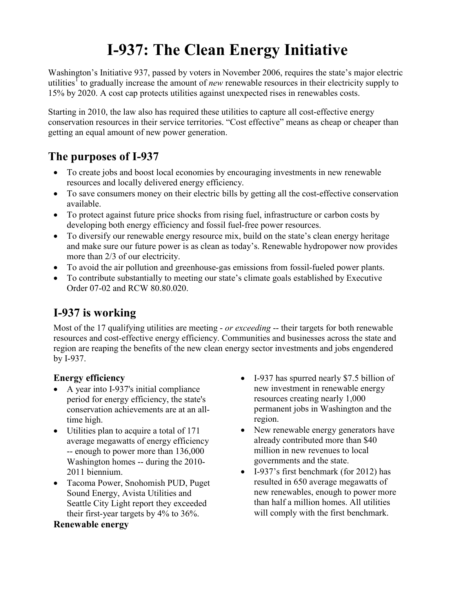# **I-937: The Clean Energy Initiative**

Washington's Initiative 937, passed by voters in November 2006, requires the state's major electric utilities<sup>1</sup> to gradually increase the amount of *new* renewable resources in their electricity supply to 15% by 2020. A cost cap protects utilities against unexpected rises in renewables costs.

Starting in 2010, the law also has required these utilities to capture all cost-effective energy conservation resources in their service territories. "Cost effective" means as cheap or cheaper than getting an equal amount of new power generation.

## **The purposes of I-937**

- To create jobs and boost local economies by encouraging investments in new renewable resources and locally delivered energy efficiency.
- To save consumers money on their electric bills by getting all the cost-effective conservation available.
- To protect against future price shocks from rising fuel, infrastructure or carbon costs by developing both energy efficiency and fossil fuel-free power resources.
- To diversify our renewable energy resource mix, build on the state's clean energy heritage and make sure our future power is as clean as today's. Renewable hydropower now provides more than 2/3 of our electricity.
- ! To avoid the air pollution and greenhouse-gas emissions from fossil-fueled power plants.
- To contribute substantially to meeting our state's climate goals established by Executive Order 07-02 and RCW 80.80.020.

## **I-937 is working**

Most of the 17 qualifying utilities are meeting - *or exceeding* -- their targets for both renewable resources and cost-effective energy efficiency. Communities and businesses across the state and region are reaping the benefits of the new clean energy sector investments and jobs engendered by I-937.

### **Energy efficiency**

- A year into I-937's initial compliance period for energy efficiency, the state's conservation achievements are at an alltime high.
- Utilities plan to acquire a total of 171 average megawatts of energy efficiency -- enough to power more than 136,000 Washington homes -- during the 2010- 2011 biennium.
- Tacoma Power, Snohomish PUD, Puget Sound Energy, Avista Utilities and Seattle City Light report they exceeded their first-year targets by 4% to 36%.

#### **Renewable energy**

- I-937 has spurred nearly \$7.5 billion of new investment in renewable energy resources creating nearly 1,000 permanent jobs in Washington and the region.
- New renewable energy generators have already contributed more than \$40 million in new revenues to local governments and the state.
- ! I-937's first benchmark (for 2012) has resulted in 650 average megawatts of new renewables, enough to power more than half a million homes. All utilities will comply with the first benchmark.